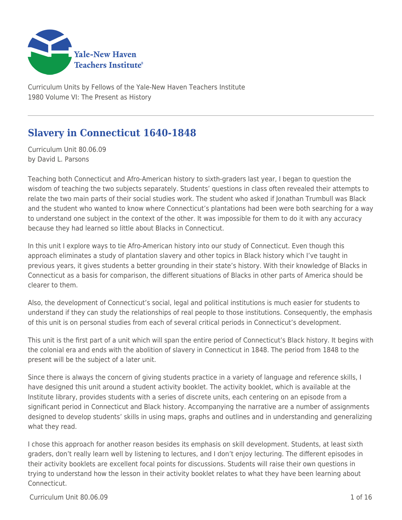

Curriculum Units by Fellows of the Yale-New Haven Teachers Institute 1980 Volume VI: The Present as History

# **Slavery in Connecticut 1640-1848**

Curriculum Unit 80.06.09 by David L. Parsons

Teaching both Connecticut and Afro-American history to sixth-graders last year, I began to question the wisdom of teaching the two subjects separately. Students' questions in class often revealed their attempts to relate the two main parts of their social studies work. The student who asked if Jonathan Trumbull was Black and the student who wanted to know where Connecticut's plantations had been were both searching for a way to understand one subject in the context of the other. It was impossible for them to do it with any accuracy because they had learned so little about Blacks in Connecticut.

In this unit I explore ways to tie Afro-American history into our study of Connecticut. Even though this approach eliminates a study of plantation slavery and other topics in Black history which I've taught in previous years, it gives students a better grounding in their state's history. With their knowledge of Blacks in Connecticut as a basis for comparison, the different situations of Blacks in other parts of America should be clearer to them.

Also, the development of Connecticut's social, legal and political institutions is much easier for students to understand if they can study the relationships of real people to those institutions. Consequently, the emphasis of this unit is on personal studies from each of several critical periods in Connecticut's development.

This unit is the first part of a unit which will span the entire period of Connecticut's Black history. It begins with the colonial era and ends with the abolition of slavery in Connecticut in 1848. The period from 1848 to the present will be the subject of a later unit.

Since there is always the concern of giving students practice in a variety of language and reference skills, I have designed this unit around a student activity booklet. The activity booklet, which is available at the Institute library, provides students with a series of discrete units, each centering on an episode from a significant period in Connecticut and Black history. Accompanying the narrative are a number of assignments designed to develop students' skills in using maps, graphs and outlines and in understanding and generalizing what they read.

I chose this approach for another reason besides its emphasis on skill development. Students, at least sixth graders, don't really learn well by listening to lectures, and I don't enjoy lecturing. The different episodes in their activity booklets are excellent focal points for discussions. Students will raise their own questions in trying to understand how the lesson in their activity booklet relates to what they have been learning about Connecticut.

 $Curir$ iulum Unit 80.06.09  $\qquad \qquad$  1.0  $\qquad$  1.0  $\qquad$  1.0  $\qquad$  1.0  $\qquad$  1.0  $\qquad$  1.0  $\qquad$  1.16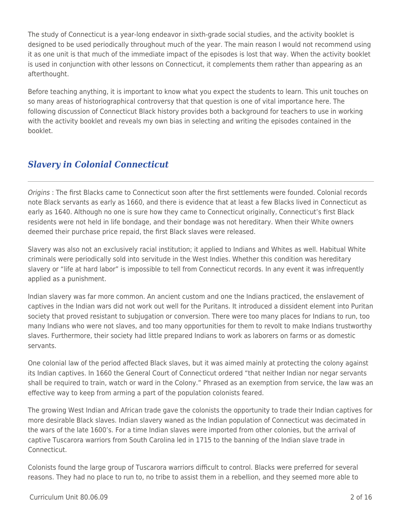The study of Connecticut is a year-long endeavor in sixth-grade social studies, and the activity booklet is designed to be used periodically throughout much of the year. The main reason I would not recommend using it as one unit is that much of the immediate impact of the episodes is lost that way. When the activity booklet is used in conjunction with other lessons on Connecticut, it complements them rather than appearing as an afterthought.

Before teaching anything, it is important to know what you expect the students to learn. This unit touches on so many areas of historiographical controversy that that question is one of vital importance here. The following discussion of Connecticut Black history provides both a background for teachers to use in working with the activity booklet and reveals my own bias in selecting and writing the episodes contained in the booklet.

# *Slavery in Colonial Connecticut*

Origins : The first Blacks came to Connecticut soon after the first settlements were founded. Colonial records note Black servants as early as 1660, and there is evidence that at least a few Blacks lived in Connecticut as early as 1640. Although no one is sure how they came to Connecticut originally, Connecticut's first Black residents were not held in life bondage, and their bondage was not hereditary. When their White owners deemed their purchase price repaid, the first Black slaves were released.

Slavery was also not an exclusively racial institution; it applied to Indians and Whites as well. Habitual White criminals were periodically sold into servitude in the West Indies. Whether this condition was hereditary slavery or "life at hard labor" is impossible to tell from Connecticut records. In any event it was infrequently applied as a punishment.

Indian slavery was far more common. An ancient custom and one the Indians practiced, the enslavement of captives in the Indian wars did not work out well for the Puritans. It introduced a dissident element into Puritan society that proved resistant to subjugation or conversion. There were too many places for Indians to run, too many Indians who were not slaves, and too many opportunities for them to revolt to make Indians trustworthy slaves. Furthermore, their society had little prepared Indians to work as laborers on farms or as domestic servants.

One colonial law of the period affected Black slaves, but it was aimed mainly at protecting the colony against its Indian captives. In 1660 the General Court of Connecticut ordered "that neither Indian nor negar servants shall be required to train, watch or ward in the Colony." Phrased as an exemption from service, the law was an effective way to keep from arming a part of the population colonists feared.

The growing West Indian and African trade gave the colonists the opportunity to trade their Indian captives for more desirable Black slaves. Indian slavery waned as the Indian population of Connecticut was decimated in the wars of the late 1600's. For a time Indian slaves were imported from other colonies, but the arrival of captive Tuscarora warriors from South Carolina led in 1715 to the banning of the Indian slave trade in **Connecticut** 

Colonists found the large group of Tuscarora warriors difficult to control. Blacks were preferred for several reasons. They had no place to run to, no tribe to assist them in a rebellion, and they seemed more able to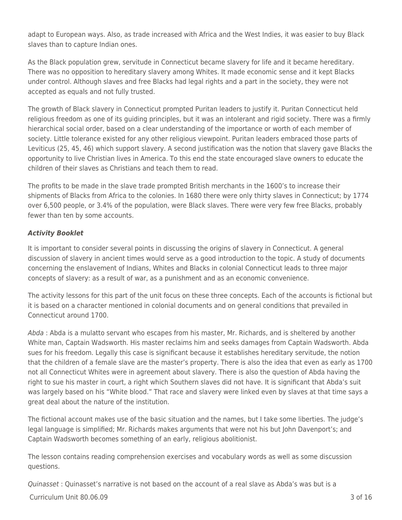adapt to European ways. Also, as trade increased with Africa and the West Indies, it was easier to buy Black slaves than to capture Indian ones.

As the Black population grew, servitude in Connecticut became slavery for life and it became hereditary. There was no opposition to hereditary slavery among Whites. It made economic sense and it kept Blacks under control. Although slaves and free Blacks had legal rights and a part in the society, they were not accepted as equals and not fully trusted.

The growth of Black slavery in Connecticut prompted Puritan leaders to justify it. Puritan Connecticut held religious freedom as one of its guiding principles, but it was an intolerant and rigid society. There was a firmly hierarchical social order, based on a clear understanding of the importance or worth of each member of society. Little tolerance existed for any other religious viewpoint. Puritan leaders embraced those parts of Leviticus (25, 45, 46) which support slavery. A second justification was the notion that slavery gave Blacks the opportunity to live Christian lives in America. To this end the state encouraged slave owners to educate the children of their slaves as Christians and teach them to read.

The profits to be made in the slave trade prompted British merchants in the 1600's to increase their shipments of Blacks from Africa to the colonies. In 1680 there were only thirty slaves in Connecticut; by 1774 over 6,500 people, or 3.4% of the population, were Black slaves. There were very few free Blacks, probably fewer than ten by some accounts.

### *Activity Booklet*

It is important to consider several points in discussing the origins of slavery in Connecticut. A general discussion of slavery in ancient times would serve as a good introduction to the topic. A study of documents concerning the enslavement of Indians, Whites and Blacks in colonial Connecticut leads to three major concepts of slavery: as a result of war, as a punishment and as an economic convenience.

The activity lessons for this part of the unit focus on these three concepts. Each of the accounts is fictional but it is based on a character mentioned in colonial documents and on general conditions that prevailed in Connecticut around 1700.

Abda : Abda is a mulatto servant who escapes from his master, Mr. Richards, and is sheltered by another White man, Captain Wadsworth. His master reclaims him and seeks damages from Captain Wadsworth. Abda sues for his freedom. Legally this case is significant because it establishes hereditary servitude, the notion that the children of a female slave are the master's property. There is also the idea that even as early as 1700 not all Connecticut Whites were in agreement about slavery. There is also the question of Abda having the right to sue his master in court, a right which Southern slaves did not have. It is significant that Abda's suit was largely based on his "White blood." That race and slavery were linked even by slaves at that time says a great deal about the nature of the institution.

The fictional account makes use of the basic situation and the names, but I take some liberties. The judge's legal language is simplified; Mr. Richards makes arguments that were not his but John Davenport's; and Captain Wadsworth becomes something of an early, religious abolitionist.

The lesson contains reading comprehension exercises and vocabulary words as well as some discussion questions.

 $C$ urriculum Unit 80.06.09  $\overline{3}$  of 16 Quinasset : Quinasset's narrative is not based on the account of a real slave as Abda's was but is a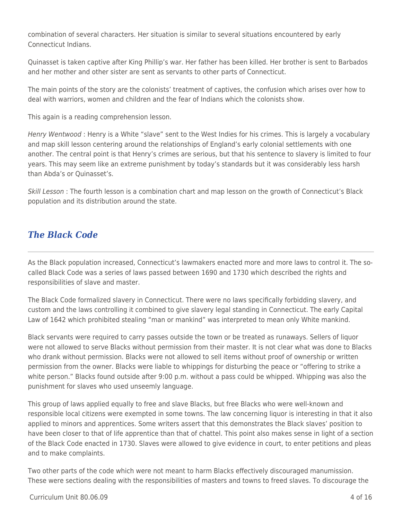combination of several characters. Her situation is similar to several situations encountered by early Connecticut Indians.

Quinasset is taken captive after King Phillip's war. Her father has been killed. Her brother is sent to Barbados and her mother and other sister are sent as servants to other parts of Connecticut.

The main points of the story are the colonists' treatment of captives, the confusion which arises over how to deal with warriors, women and children and the fear of Indians which the colonists show.

This again is a reading comprehension lesson.

Henry Wentwood : Henry is a White "slave" sent to the West Indies for his crimes. This is largely a vocabulary and map skill lesson centering around the relationships of England's early colonial settlements with one another. The central point is that Henry's crimes are serious, but that his sentence to slavery is limited to four years. This may seem like an extreme punishment by today's standards but it was considerably less harsh than Abda's or Quinasset's.

Skill Lesson : The fourth lesson is a combination chart and map lesson on the growth of Connecticut's Black population and its distribution around the state.

### *The Black Code*

As the Black population increased, Connecticut's lawmakers enacted more and more laws to control it. The socalled Black Code was a series of laws passed between 1690 and 1730 which described the rights and responsibilities of slave and master.

The Black Code formalized slavery in Connecticut. There were no laws specifically forbidding slavery, and custom and the laws controlling it combined to give slavery legal standing in Connecticut. The early Capital Law of 1642 which prohibited stealing "man or mankind" was interpreted to mean only White mankind.

Black servants were required to carry passes outside the town or be treated as runaways. Sellers of liquor were not allowed to serve Blacks without permission from their master. It is not clear what was done to Blacks who drank without permission. Blacks were not allowed to sell items without proof of ownership or written permission from the owner. Blacks were liable to whippings for disturbing the peace or "offering to strike a white person." Blacks found outside after 9:00 p.m. without a pass could be whipped. Whipping was also the punishment for slaves who used unseemly language.

This group of laws applied equally to free and slave Blacks, but free Blacks who were well-known and responsible local citizens were exempted in some towns. The law concerning liquor is interesting in that it also applied to minors and apprentices. Some writers assert that this demonstrates the Black slaves' position to have been closer to that of life apprentice than that of chattel. This point also makes sense in light of a section of the Black Code enacted in 1730. Slaves were allowed to give evidence in court, to enter petitions and pleas and to make complaints.

Two other parts of the code which were not meant to harm Blacks effectively discouraged manumission. These were sections dealing with the responsibilities of masters and towns to freed slaves. To discourage the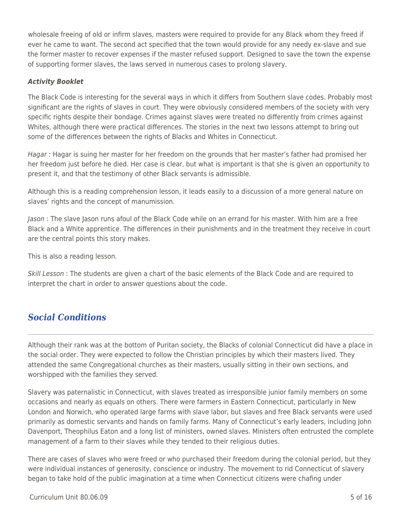wholesale freeing of old or infirm slaves, masters were required to provide for any Black whom they freed if ever he came to want. The second act specified that the town would provide for any needy ex-slave and sue the former master to recover expenses if the master refused support. Designed to save the town the expense of supporting former slaves, the laws served in numerous cases to prolong slavery.

#### *Activity Booklet*

The Black Code is interesting for the several ways in which it differs from Southern slave codes. Probably most significant are the rights of slaves in court. They were obviously considered members of the society with very specific rights despite their bondage. Crimes against slaves were treated no differently from crimes against Whites, although there were practical differences. The stories in the next two lessons attempt to bring out some of the differences between the rights of Blacks and Whites in Connecticut.

Hagar : Hagar is suing her master for her freedom on the grounds that her master's father had promised her her freedom just before he died. Her case is clear, but what is important is that she is given an opportunity to present it, and that the testimony of other Black servants is admissible.

Although this is a reading comprehension lesson, it leads easily to a discussion of a more general nature on slaves' rights and the concept of manumission.

Jason : The slave Jason runs afoul of the Black Code while on an errand for his master. With him are a free Black and a White apprentice. The differences in their punishments and in the treatment they receive in court are the central points this story makes.

This is also a reading lesson.

Skill Lesson : The students are given a chart of the basic elements of the Black Code and are required to interpret the chart in order to answer questions about the code.

### *Social Conditions*

Although their rank was at the bottom of Puritan society, the Blacks of colonial Connecticut did have a place in the social order. They were expected to follow the Christian principles by which their masters lived. They attended the same Congregational churches as their masters, usually sitting in their own sections, and worshipped with the families they served.

Slavery was paternalistic in Connecticut, with slaves treated as irresponsible junior family members on some occasions and nearly as equals on others. There were farmers in Eastern Connecticut, particularly in New London and Norwich, who operated large farms with slave labor, but slaves and free Black servants were used primarily as domestic servants and hands on family farms. Many of Connecticut's early leaders, including John Davenport, Theophilus Eaton and a long list of ministers, owned slaves. Ministers often entrusted the complete management of a farm to their slaves while they tended to their religious duties.

There are cases of slaves who were freed or who purchased their freedom during the colonial period, but they were individual instances of generosity, conscience or industry. The movement to rid Connecticut of slavery began to take hold of the public imagination at a time when Connecticut citizens were chafing under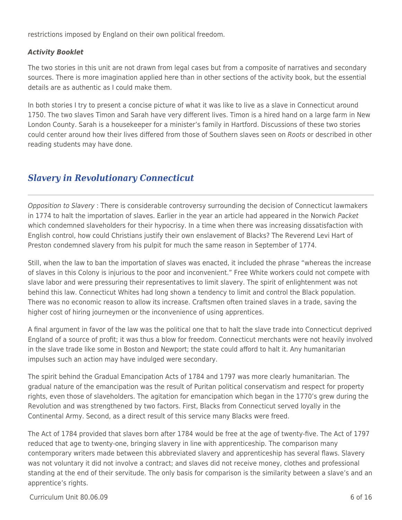restrictions imposed by England on their own political freedom.

#### *Activity Booklet*

The two stories in this unit are not drawn from legal cases but from a composite of narratives and secondary sources. There is more imagination applied here than in other sections of the activity book, but the essential details are as authentic as I could make them.

In both stories I try to present a concise picture of what it was like to live as a slave in Connecticut around 1750. The two slaves Timon and Sarah have very different lives. Timon is a hired hand on a large farm in New London County. Sarah is a housekeeper for a minister's family in Hartford. Discussions of these two stories could center around how their lives differed from those of Southern slaves seen on Roots or described in other reading students may have done.

## *Slavery in Revolutionary Connecticut*

Opposition to Slavery : There is considerable controversy surrounding the decision of Connecticut lawmakers in 1774 to halt the importation of slaves. Earlier in the year an article had appeared in the Norwich Packet which condemned slaveholders for their hypocrisy. In a time when there was increasing dissatisfaction with English control, how could Christians justify their own enslavement of Blacks? The Reverend Levi Hart of Preston condemned slavery from his pulpit for much the same reason in September of 1774.

Still, when the law to ban the importation of slaves was enacted, it included the phrase "whereas the increase of slaves in this Colony is injurious to the poor and inconvenient." Free White workers could not compete with slave labor and were pressuring their representatives to limit slavery. The spirit of enlightenment was not behind this law. Connecticut Whites had long shown a tendency to limit and control the Black population. There was no economic reason to allow its increase. Craftsmen often trained slaves in a trade, saving the higher cost of hiring journeymen or the inconvenience of using apprentices.

A final argument in favor of the law was the political one that to halt the slave trade into Connecticut deprived England of a source of profit; it was thus a blow for freedom. Connecticut merchants were not heavily involved in the slave trade like some in Boston and Newport; the state could afford to halt it. Any humanitarian impulses such an action may have indulged were secondary.

The spirit behind the Gradual Emancipation Acts of 1784 and 1797 was more clearly humanitarian. The gradual nature of the emancipation was the result of Puritan political conservatism and respect for property rights, even those of slaveholders. The agitation for emancipation which began in the 1770's grew during the Revolution and was strengthened by two factors. First, Blacks from Connecticut served loyally in the Continental Army. Second, as a direct result of this service many Blacks were freed.

The Act of 1784 provided that slaves born after 1784 would be free at the age of twenty-five. The Act of 1797 reduced that age to twenty-one, bringing slavery in line with apprenticeship. The comparison many contemporary writers made between this abbreviated slavery and apprenticeship has several flaws. Slavery was not voluntary it did not involve a contract; and slaves did not receive money, clothes and professional standing at the end of their servitude. The only basis for comparison is the similarity between a slave's and an apprentice's rights.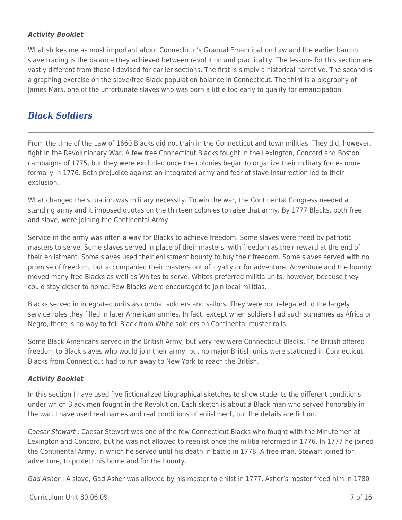#### *Activity Booklet*

What strikes me as most important about Connecticut's Gradual Emancipation Law and the earlier ban on slave trading is the balance they achieved between revolution and practicality. The lessons for this section are vastly different from those I devised for earlier sections. The first is simply a historical narrative. The second is a graphing exercise on the slave/free Black population balance in Connecticut. The third is a biography of James Mars, one of the unfortunate slaves who was born a little too early to qualify for emancipation.

### *Black Soldiers*

From the time of the Law of 1660 Blacks did not train in the Connecticut and town militias. They did, however, fight in the Revolutionary War. A few free Connecticut Blacks fought in the Lexington, Concord and Boston campaigns of 1775, but they were excluded once the colonies began to organize their military forces more formally in 1776. Both prejudice against an integrated army and fear of slave insurrection led to their exclusion.

What changed the situation was military necessity. To win the war, the Continental Congress needed a standing army and it imposed quotas on the thirteen colonies to raise that army. By 1777 Blacks, both free and slave, were joining the Continental Army.

Service in the army was often a way for Blacks to achieve freedom. Some slaves were freed by patriotic masters to serve. Some slaves served in place of their masters, with freedom as their reward at the end of their enlistment. Some slaves used their enlistment bounty to buy their freedom. Some slaves served with no promise of freedom, but accompanied their masters out of loyalty or for adventure. Adventure and the bounty moved many free Blacks as well as Whites to serve. Whites preferred militia units, however, because they could stay closer to home. Few Blacks were encouraged to join local militias.

Blacks served in integrated units as combat soldiers and sailors. They were not relegated to the largely service roles they filled in later American armies. In fact, except when soldiers had such surnames as Africa or Negro, there is no way to tell Black from White soldiers on Continental muster rolls.

Some Black Americans served in the British Army, but very few were Connecticut Blacks. The British offered freedom to Black slaves who would join their army, but no major British units were stationed in Connecticut. Blacks from Connecticut had to run away to New York to reach the British.

### *Activity Booklet*

In this section I have used five fictionalized biographical sketches to show students the different conditions under which Black men fought in the Revolution. Each sketch is about a Black man who served honorably in the war. I have used real names and real conditions of enlistment, but the details are fiction.

Caesar Stewart : Caesar Stewart was one of the few Connecticut Blacks who fought with the Minutemen at Lexington and Concord, but he was not allowed to reenlist once the militia reformed in 1776. In 1777 he joined the Continental Army, in which he served until his death in battle in 1778. A free man, Stewart joined for adventure, to protect his home and for the bounty.

Gad Asher : A slave, Gad Asher was allowed by his master to enlist in 1777. Asher's master freed him in 1780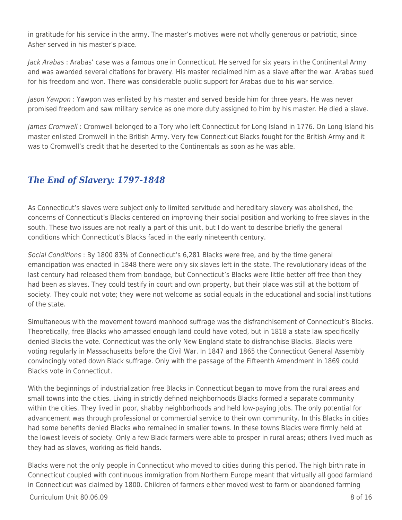in gratitude for his service in the army. The master's motives were not wholly generous or patriotic, since Asher served in his master's place.

Jack Arabas : Arabas' case was a famous one in Connecticut. He served for six years in the Continental Army and was awarded several citations for bravery. His master reclaimed him as a slave after the war. Arabas sued for his freedom and won. There was considerable public support for Arabas due to his war service.

Jason Yawpon : Yawpon was enlisted by his master and served beside him for three years. He was never promised freedom and saw military service as one more duty assigned to him by his master. He died a slave.

James Cromwell : Cromwell belonged to a Tory who left Connecticut for Long Island in 1776. On Long Island his master enlisted Cromwell in the British Army. Very few Connecticut Blacks fought for the British Army and it was to Cromwell's credit that he deserted to the Continentals as soon as he was able.

## *The End of Slavery: 1797-1848*

As Connecticut's slaves were subject only to limited servitude and hereditary slavery was abolished, the concerns of Connecticut's Blacks centered on improving their social position and working to free slaves in the south. These two issues are not really a part of this unit, but I do want to describe briefly the general conditions which Connecticut's Blacks faced in the early nineteenth century.

Social Conditions : By 1800 83% of Connecticut's 6,281 Blacks were free, and by the time general emancipation was enacted in 1848 there were only six slaves left in the state. The revolutionary ideas of the last century had released them from bondage, but Connecticut's Blacks were little better off free than they had been as slaves. They could testify in court and own property, but their place was still at the bottom of society. They could not vote; they were not welcome as social equals in the educational and social institutions of the state.

Simultaneous with the movement toward manhood suffrage was the disfranchisement of Connecticut's Blacks. Theoretically, free Blacks who amassed enough land could have voted, but in 1818 a state law specifically denied Blacks the vote. Connecticut was the only New England state to disfranchise Blacks. Blacks were voting regularly in Massachusetts before the Civil War. In 1847 and 1865 the Connecticut General Assembly convincingly voted down Black suffrage. Only with the passage of the Fifteenth Amendment in 1869 could Blacks vote in Connecticut.

With the beginnings of industrialization free Blacks in Connecticut began to move from the rural areas and small towns into the cities. Living in strictly defined neighborhoods Blacks formed a separate community within the cities. They lived in poor, shabby neighborhoods and held low-paying jobs. The only potential for advancement was through professional or commercial service to their own community. In this Blacks in cities had some benefits denied Blacks who remained in smaller towns. In these towns Blacks were firmly held at the lowest levels of society. Only a few Black farmers were able to prosper in rural areas; others lived much as they had as slaves, working as field hands.

Blacks were not the only people in Connecticut who moved to cities during this period. The high birth rate in Connecticut coupled with continuous immigration from Northern Europe meant that virtually all good farmland in Connecticut was claimed by 1800. Children of farmers either moved west to farm or abandoned farming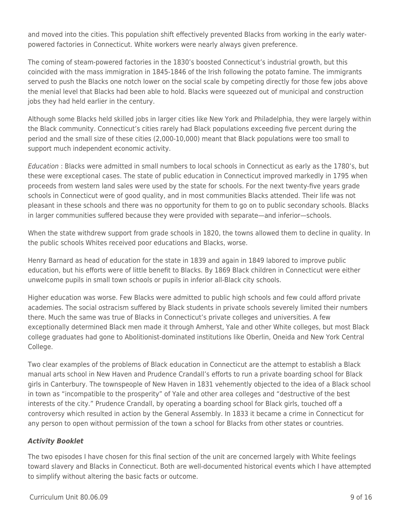and moved into the cities. This population shift effectively prevented Blacks from working in the early waterpowered factories in Connecticut. White workers were nearly always given preference.

The coming of steam-powered factories in the 1830's boosted Connecticut's industrial growth, but this coincided with the mass immigration in 1845-1846 of the Irish following the potato famine. The immigrants served to push the Blacks one notch lower on the social scale by competing directly for those few jobs above the menial level that Blacks had been able to hold. Blacks were squeezed out of municipal and construction jobs they had held earlier in the century.

Although some Blacks held skilled jobs in larger cities like New York and Philadelphia, they were largely within the Black community. Connecticut's cities rarely had Black populations exceeding five percent during the period and the small size of these cities (2,000-10,000) meant that Black populations were too small to support much independent economic activity.

Education : Blacks were admitted in small numbers to local schools in Connecticut as early as the 1780's, but these were exceptional cases. The state of public education in Connecticut improved markedly in 1795 when proceeds from western land sales were used by the state for schools. For the next twenty-five years grade schools in Connecticut were of good quality, and in most communities Blacks attended. Their life was not pleasant in these schools and there was no opportunity for them to go on to public secondary schools. Blacks in larger communities suffered because they were provided with separate—and inferior—schools.

When the state withdrew support from grade schools in 1820, the towns allowed them to decline in quality. In the public schools Whites received poor educations and Blacks, worse.

Henry Barnard as head of education for the state in 1839 and again in 1849 labored to improve public education, but his efforts were of little benefit to Blacks. By 1869 Black children in Connecticut were either unwelcome pupils in small town schools or pupils in inferior all-Black city schools.

Higher education was worse. Few Blacks were admitted to public high schools and few could afford private academies. The social ostracism suffered by Black students in private schools severely limited their numbers there. Much the same was true of Blacks in Connecticut's private colleges and universities. A few exceptionally determined Black men made it through Amherst, Yale and other White colleges, but most Black college graduates had gone to Abolitionist-dominated institutions like Oberlin, Oneida and New York Central College.

Two clear examples of the problems of Black education in Connecticut are the attempt to establish a Black manual arts school in New Haven and Prudence Crandall's efforts to run a private boarding school for Black girls in Canterbury. The townspeople of New Haven in 1831 vehemently objected to the idea of a Black school in town as "incompatible to the prosperity" of Yale and other area colleges and "destructive of the best interests of the city." Prudence Crandall, by operating a boarding school for Black girls, touched off a controversy which resulted in action by the General Assembly. In 1833 it became a crime in Connecticut for any person to open without permission of the town a school for Blacks from other states or countries.

### *Activity Booklet*

The two episodes I have chosen for this final section of the unit are concerned largely with White feelings toward slavery and Blacks in Connecticut. Both are well-documented historical events which I have attempted to simplify without altering the basic facts or outcome.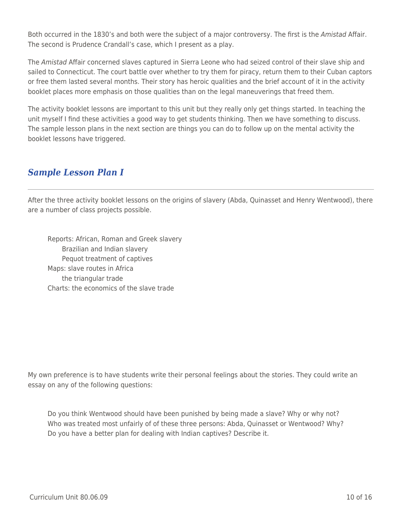Both occurred in the 1830's and both were the subject of a major controversy. The first is the Amistad Affair. The second is Prudence Crandall's case, which I present as a play.

The Amistad Affair concerned slaves captured in Sierra Leone who had seized control of their slave ship and sailed to Connecticut. The court battle over whether to try them for piracy, return them to their Cuban captors or free them lasted several months. Their story has heroic qualities and the brief account of it in the activity booklet places more emphasis on those qualities than on the legal maneuverings that freed them.

The activity booklet lessons are important to this unit but they really only get things started. In teaching the unit myself I find these activities a good way to get students thinking. Then we have something to discuss. The sample lesson plans in the next section are things you can do to follow up on the mental activity the booklet lessons have triggered.

### *Sample Lesson Plan I*

After the three activity booklet lessons on the origins of slavery (Abda, Quinasset and Henry Wentwood), there are a number of class projects possible.

Reports: African, Roman and Greek slavery Brazilian and Indian slavery Pequot treatment of captives Maps: slave routes in Africa the triangular trade Charts: the economics of the slave trade

My own preference is to have students write their personal feelings about the stories. They could write an essay on any of the following questions:

Do you think Wentwood should have been punished by being made a slave? Why or why not? Who was treated most unfairly of of these three persons: Abda, Quinasset or Wentwood? Why? Do you have a better plan for dealing with Indian captives? Describe it.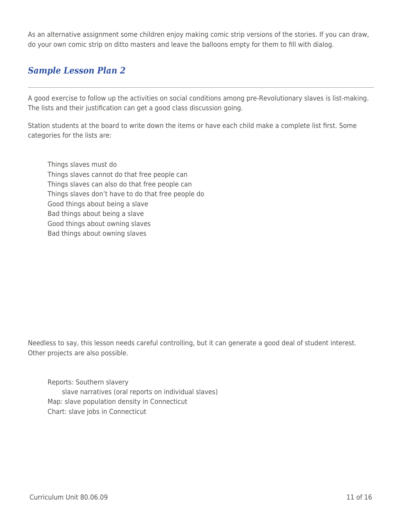As an alternative assignment some children enjoy making comic strip versions of the stories. If you can draw, do your own comic strip on ditto masters and leave the balloons empty for them to fill with dialog.

## *Sample Lesson Plan 2*

A good exercise to follow up the activities on social conditions among pre-Revolutionary slaves is list-making. The lists and their justification can get a good class discussion going.

Station students at the board to write down the items or have each child make a complete list first. Some categories for the lists are:

Things slaves must do Things slaves cannot do that free people can Things slaves can also do that free people can Things slaves don't have to do that free people do Good things about being a slave Bad things about being a slave Good things about owning slaves Bad things about owning slaves

Needless to say, this lesson needs careful controlling, but it can generate a good deal of student interest. Other projects are also possible.

Reports: Southern slavery slave narratives (oral reports on individual slaves) Map: slave population density in Connecticut Chart: slave jobs in Connecticut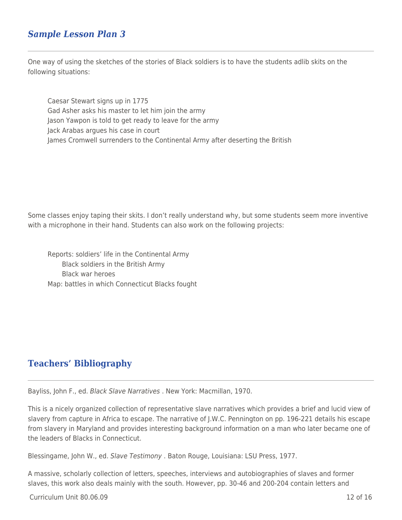### *Sample Lesson Plan 3*

One way of using the sketches of the stories of Black soldiers is to have the students adlib skits on the following situations:

Caesar Stewart signs up in 1775 Gad Asher asks his master to let him join the army Jason Yawpon is told to get ready to leave for the army Jack Arabas argues his case in court James Cromwell surrenders to the Continental Army after deserting the British

Some classes enjoy taping their skits. I don't really understand why, but some students seem more inventive with a microphone in their hand. Students can also work on the following projects:

Reports: soldiers' life in the Continental Army Black soldiers in the British Army \_\_\_\_ Black war heroes Map: battles in which Connecticut Blacks fought

### **Teachers' Bibliography**

Bayliss, John F., ed. Black Slave Narratives . New York: Macmillan, 1970.

This is a nicely organized collection of representative slave narratives which provides a brief and lucid view of slavery from capture in Africa to escape. The narrative of J.W.C. Pennington on pp. 196-221 details his escape from slavery in Maryland and provides interesting background information on a man who later became one of the leaders of Blacks in Connecticut.

Blessingame, John W., ed. Slave Testimony . Baton Rouge, Louisiana: LSU Press, 1977.

A massive, scholarly collection of letters, speeches, interviews and autobiographies of slaves and former slaves, this work also deals mainly with the south. However, pp. 30-46 and 200-204 contain letters and

 $Curir$ iulum Unit 80.06.09  $\qquad$  12 of 16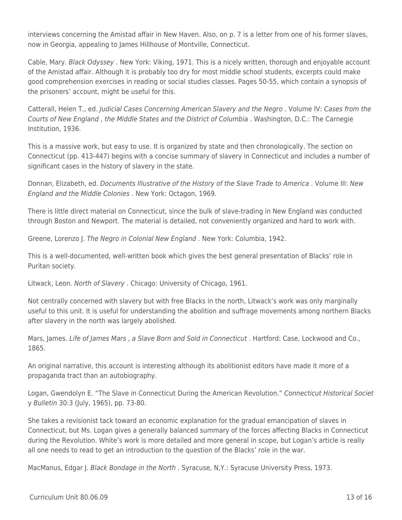interviews concerning the Amistad affair in New Haven. Also, on p. 7 is a letter from one of his former slaves, now in Georgia, appealing to James Hillhouse of Montville, Connecticut.

Cable, Mary. Black Odyssey . New York: Viking, 1971. This is a nicely written, thorough and enjoyable account of the Amistad affair. Although it is probably too dry for most middle school students, excerpts could make good comprehension exercises in reading or social studies classes. Pages 50-55, which contain a synopsis of the prisoners' account, might be useful for this.

Catterall, Helen T., ed. Judicial Cases Concerning American Slavery and the Negro . Volume IV: Cases from the Courts of New England , the Middle States and the District of Columbia . Washington, D.C.: The Carnegie Institution, 1936.

This is a massive work, but easy to use. It is organized by state and then chronologically. The section on Connecticut (pp. 413-447) begins with a concise summary of slavery in Connecticut and includes a number of significant cases in the history of slavery in the state.

Donnan, Elizabeth, ed. Documents Illustrative of the History of the Slave Trade to America . Volume III: New England and the Middle Colonies . New York: Octagon, 1969.

There is little direct material on Connecticut, since the bulk of slave-trading in New England was conducted through Boston and Newport. The material is detailed, not conveniently organized and hard to work with.

Greene, Lorenzo J. The Negro in Colonial New England . New York: Columbia, 1942.

This is a well-documented, well-written book which gives the best general presentation of Blacks' role in Puritan society.

Litwack, Leon. North of Slavery . Chicago: University of Chicago, 1961.

Not centrally concerned with slavery but with free Blacks in the north, Litwack's work was only marginally useful to this unit. It is useful for understanding the abolition and suffrage movements among northern Blacks after slavery in the north was largely abolished.

Mars, James. Life of James Mars, a Slave Born and Sold in Connecticut. Hartford: Case, Lockwood and Co., 1865.

An original narrative, this account is interesting although its abolitionist editors have made it more of a propaganda tract than an autobiography.

Logan, Gwendolyn E. "The Slave in Connecticut During the American Revolution." Connecticut Historical Societ y Bulletin 30:3 (July, 1965), pp. 73-80.

She takes a revisionist tack toward an economic explanation for the gradual emancipation of slaves in Connecticut, but Ms. Logan gives a generally balanced summary of the forces affecting Blacks in Connecticut during the Revolution. White's work is more detailed and more general in scope, but Logan's article is really all one needs to read to get an introduction to the question of the Blacks' role in the war.

MacManus, Edgar J. Black Bondage in the North . Syracuse, N, Y.: Syracuse University Press, 1973.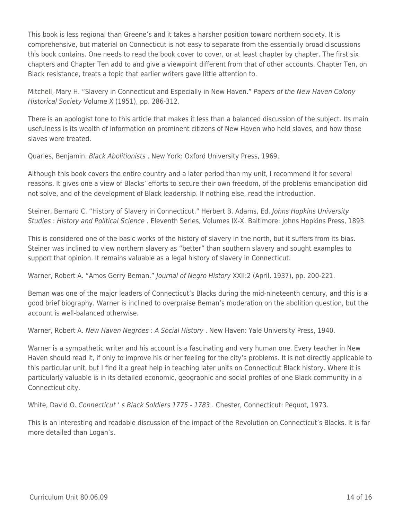This book is less regional than Greene's and it takes a harsher position toward northern society. It is comprehensive, but material on Connecticut is not easy to separate from the essentially broad discussions this book contains. One needs to read the book cover to cover, or at least chapter by chapter. The first six chapters and Chapter Ten add to and give a viewpoint different from that of other accounts. Chapter Ten, on Black resistance, treats a topic that earlier writers gave little attention to.

Mitchell, Mary H. "Slavery in Connecticut and Especially in New Haven." Papers of the New Haven Colony Historical Society Volume X (1951), pp. 286-312.

There is an apologist tone to this article that makes it less than a balanced discussion of the subject. Its main usefulness is its wealth of information on prominent citizens of New Haven who held slaves, and how those slaves were treated.

Quarles, Benjamin. Black Abolitionists . New York: Oxford University Press, 1969.

Although this book covers the entire country and a later period than my unit, I recommend it for several reasons. It gives one a view of Blacks' efforts to secure their own freedom, of the problems emancipation did not solve, and of the development of Black leadership. If nothing else, read the introduction.

Steiner, Bernard C. "History of Slavery in Connecticut." Herbert B. Adams, Ed. Johns Hopkins University Studies : History and Political Science . Eleventh Series, Volumes IX-X. Baltimore: Johns Hopkins Press, 1893.

This is considered one of the basic works of the history of slavery in the north, but it suffers from its bias. Steiner was inclined to view northern slavery as "better" than southern slavery and sought examples to support that opinion. It remains valuable as a legal history of slavery in Connecticut.

Warner, Robert A. "Amos Gerry Beman." Journal of Negro History XXII:2 (April, 1937), pp. 200-221.

Beman was one of the major leaders of Connecticut's Blacks during the mid-nineteenth century, and this is a good brief biography. Warner is inclined to overpraise Beman's moderation on the abolition question, but the account is well-balanced otherwise.

Warner, Robert A. New Haven Negroes : A Social History . New Haven: Yale University Press, 1940.

Warner is a sympathetic writer and his account is a fascinating and very human one. Every teacher in New Haven should read it, if only to improve his or her feeling for the city's problems. It is not directly applicable to this particular unit, but I find it a great help in teaching later units on Connecticut Black history. Where it is particularly valuable is in its detailed economic, geographic and social profiles of one Black community in a Connecticut city.

White, David O. Connecticut ' s Black Soldiers 1775 - 1783 . Chester, Connecticut: Pequot, 1973.

This is an interesting and readable discussion of the impact of the Revolution on Connecticut's Blacks. It is far more detailed than Logan's.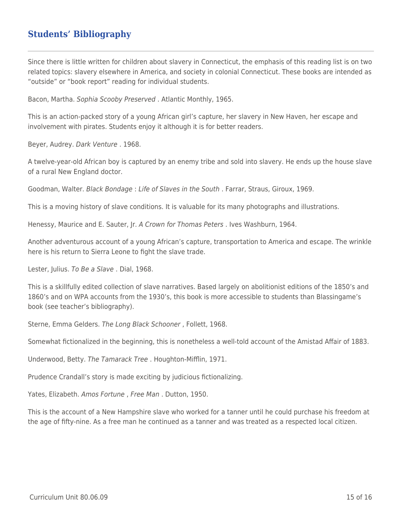### **Students' Bibliography**

Since there is little written for children about slavery in Connecticut, the emphasis of this reading list is on two related topics: slavery elsewhere in America, and society in colonial Connecticut. These books are intended as "outside" or "book report" reading for individual students.

Bacon, Martha. Sophia Scooby Preserved . Atlantic Monthly, 1965.

This is an action-packed story of a young African girl's capture, her slavery in New Haven, her escape and involvement with pirates. Students enjoy it although it is for better readers.

Beyer, Audrey. Dark Venture . 1968.

A twelve-year-old African boy is captured by an enemy tribe and sold into slavery. He ends up the house slave of a rural New England doctor.

Goodman, Walter. Black Bondage : Life of Slaves in the South . Farrar, Straus, Giroux, 1969.

This is a moving history of slave conditions. It is valuable for its many photographs and illustrations.

Henessy, Maurice and E. Sauter, Jr. A Crown for Thomas Peters . Ives Washburn, 1964.

Another adventurous account of a young African's capture, transportation to America and escape. The wrinkle here is his return to Sierra Leone to fight the slave trade.

Lester, Julius. To Be a Slave . Dial, 1968.

This is a skillfully edited collection of slave narratives. Based largely on abolitionist editions of the 1850's and 1860's and on WPA accounts from the 1930's, this book is more accessible to students than Blassingame's book (see teacher's bibliography).

Sterne, Emma Gelders. The Long Black Schooner , Follett, 1968.

Somewhat fictionalized in the beginning, this is nonetheless a well-told account of the Amistad Affair of 1883.

Underwood, Betty. The Tamarack Tree . Houghton-Mifflin, 1971.

Prudence Crandall's story is made exciting by judicious fictionalizing.

Yates, Elizabeth. Amos Fortune , Free Man . Dutton, 1950.

This is the account of a New Hampshire slave who worked for a tanner until he could purchase his freedom at the age of fifty-nine. As a free man he continued as a tanner and was treated as a respected local citizen.